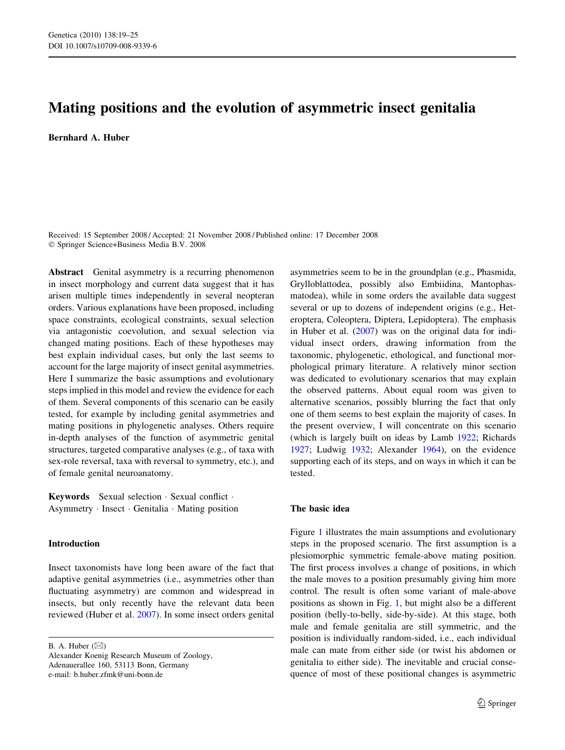# Mating positions and the evolution of asymmetric insect genitalia

Bernhard A. Huber

Received: 15 September 2008 / Accepted: 21 November 2008 / Published online: 17 December 2008 Springer Science+Business Media B.V. 2008

Abstract Genital asymmetry is a recurring phenomenon in insect morphology and current data suggest that it has arisen multiple times independently in several neopteran orders. Various explanations have been proposed, including space constraints, ecological constraints, sexual selection via antagonistic coevolution, and sexual selection via changed mating positions. Each of these hypotheses may best explain individual cases, but only the last seems to account for the large majority of insect genital asymmetries. Here I summarize the basic assumptions and evolutionary steps implied in this model and review the evidence for each of them. Several components of this scenario can be easily tested, for example by including genital asymmetries and mating positions in phylogenetic analyses. Others require in-depth analyses of the function of asymmetric genital structures, targeted comparative analyses (e.g., of taxa with sex-role reversal, taxa with reversal to symmetry, etc.), and of female genital neuroanatomy.

**Keywords** Sexual selection  $\cdot$  Sexual conflict  $\cdot$ Asymmetry · Insect · Genitalia · Mating position

## Introduction

Insect taxonomists have long been aware of the fact that adaptive genital asymmetries (i.e., asymmetries other than fluctuating asymmetry) are common and widespread in insects, but only recently have the relevant data been reviewed (Huber et al. [2007\)](#page-5-0). In some insect orders genital

B. A. Huber  $(\boxtimes)$ 

Alexander Koenig Research Museum of Zoology, Adenauerallee 160, 53113 Bonn, Germany e-mail: b.huber.zfmk@uni-bonn.de

asymmetries seem to be in the groundplan (e.g., Phasmida, Grylloblattodea, possibly also Embiidina, Mantophasmatodea), while in some orders the available data suggest several or up to dozens of independent origins (e.g., Heteroptera, Coleoptera, Diptera, Lepidoptera). The emphasis in Huber et al. [\(2007](#page-5-0)) was on the original data for individual insect orders, drawing information from the taxonomic, phylogenetic, ethological, and functional morphological primary literature. A relatively minor section was dedicated to evolutionary scenarios that may explain the observed patterns. About equal room was given to alternative scenarios, possibly blurring the fact that only one of them seems to best explain the majority of cases. In the present overview, I will concentrate on this scenario (which is largely built on ideas by Lamb [1922;](#page-5-0) Richards [1927](#page-6-0); Ludwig [1932](#page-5-0); Alexander [1964](#page-4-0)), on the evidence supporting each of its steps, and on ways in which it can be tested.

#### The basic idea

Figure [1](#page-1-0) illustrates the main assumptions and evolutionary steps in the proposed scenario. The first assumption is a plesiomorphic symmetric female-above mating position. The first process involves a change of positions, in which the male moves to a position presumably giving him more control. The result is often some variant of male-above positions as shown in Fig. [1](#page-1-0), but might also be a different position (belly-to-belly, side-by-side). At this stage, both male and female genitalia are still symmetric, and the position is individually random-sided, i.e., each individual male can mate from either side (or twist his abdomen or genitalia to either side). The inevitable and crucial consequence of most of these positional changes is asymmetric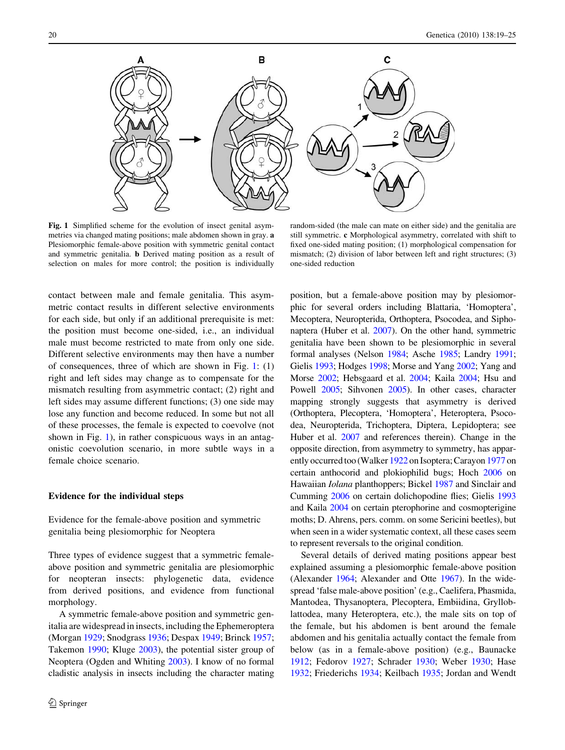<span id="page-1-0"></span>

Fig. 1 Simplified scheme for the evolution of insect genital asymmetries via changed mating positions; male abdomen shown in gray. a Plesiomorphic female-above position with symmetric genital contact and symmetric genitalia. b Derived mating position as a result of selection on males for more control; the position is individually

random-sided (the male can mate on either side) and the genitalia are still symmetric. c Morphological asymmetry, correlated with shift to fixed one-sided mating position; (1) morphological compensation for mismatch; (2) division of labor between left and right structures; (3) one-sided reduction

contact between male and female genitalia. This asymmetric contact results in different selective environments for each side, but only if an additional prerequisite is met: the position must become one-sided, i.e., an individual male must become restricted to mate from only one side. Different selective environments may then have a number of consequences, three of which are shown in Fig. 1:  $(1)$ right and left sides may change as to compensate for the mismatch resulting from asymmetric contact; (2) right and left sides may assume different functions; (3) one side may lose any function and become reduced. In some but not all of these processes, the female is expected to coevolve (not shown in Fig. 1), in rather conspicuous ways in an antagonistic coevolution scenario, in more subtle ways in a female choice scenario.

#### Evidence for the individual steps

Evidence for the female-above position and symmetric genitalia being plesiomorphic for Neoptera

Three types of evidence suggest that a symmetric femaleabove position and symmetric genitalia are plesiomorphic for neopteran insects: phylogenetic data, evidence from derived positions, and evidence from functional morphology.

A symmetric female-above position and symmetric genitalia are widespread in insects, including the Ephemeroptera (Morgan [1929;](#page-6-0) Snodgrass [1936;](#page-6-0) Despax [1949](#page-5-0); Brinck [1957](#page-4-0); Takemon [1990](#page-6-0); Kluge [2003](#page-5-0)), the potential sister group of Neoptera (Ogden and Whiting [2003](#page-6-0)). I know of no formal cladistic analysis in insects including the character mating position, but a female-above position may by plesiomorphic for several orders including Blattaria, 'Homoptera', Mecoptera, Neuropterida, Orthoptera, Psocodea, and Siphonaptera (Huber et al. [2007](#page-5-0)). On the other hand, symmetric genitalia have been shown to be plesiomorphic in several formal analyses (Nelson [1984;](#page-6-0) Asche [1985;](#page-4-0) Landry [1991](#page-5-0); Gielis [1993](#page-5-0); Hodges [1998;](#page-5-0) Morse and Yang [2002](#page-6-0); Yang and Morse [2002;](#page-6-0) Hebsgaard et al. [2004](#page-5-0); Kaila [2004](#page-5-0); Hsu and Powell [2005](#page-5-0); Sihvonen [2005\)](#page-6-0). In other cases, character mapping strongly suggests that asymmetry is derived (Orthoptera, Plecoptera, 'Homoptera', Heteroptera, Psocodea, Neuropterida, Trichoptera, Diptera, Lepidoptera; see Huber et al. [2007](#page-5-0) and references therein). Change in the opposite direction, from asymmetry to symmetry, has apparently occurred too (Walker [1922](#page-6-0) on Isoptera; Carayon [1977](#page-5-0) on certain anthocorid and plokiophilid bugs; Hoch [2006](#page-5-0) on Hawaiian Iolana planthoppers; Bickel [1987](#page-4-0) and Sinclair and Cumming [2006](#page-6-0) on certain dolichopodine flies; Gielis [1993](#page-5-0) and Kaila [2004](#page-5-0) on certain pterophorine and cosmopterigine moths; D. Ahrens, pers. comm. on some Sericini beetles), but when seen in a wider systematic context, all these cases seem to represent reversals to the original condition.

Several details of derived mating positions appear best explained assuming a plesiomorphic female-above position (Alexander [1964;](#page-4-0) Alexander and Otte [1967](#page-4-0)). In the widespread 'false male-above position' (e.g., Caelifera, Phasmida, Mantodea, Thysanoptera, Plecoptera, Embiidina, Grylloblattodea, many Heteroptera, etc.), the male sits on top of the female, but his abdomen is bent around the female abdomen and his genitalia actually contact the female from below (as in a female-above position) (e.g., Baunacke [1912](#page-4-0); Fedorov [1927](#page-5-0); Schrader [1930](#page-6-0); Weber [1930;](#page-6-0) Hase [1932](#page-5-0); Friederichs [1934;](#page-5-0) Keilbach [1935;](#page-5-0) Jordan and Wendt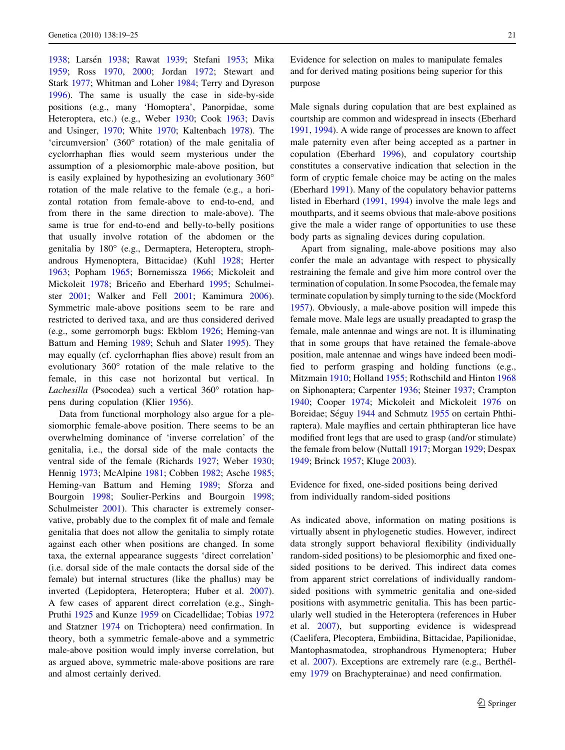[1938;](#page-5-0) Larsén 1938; Rawat [1939;](#page-6-0) Stefani [1953;](#page-6-0) Mika [1959;](#page-6-0) Ross [1970](#page-6-0), [2000;](#page-6-0) Jordan [1972](#page-5-0); Stewart and Stark [1977](#page-6-0); Whitman and Loher [1984](#page-6-0); Terry and Dyreson [1996\)](#page-6-0). The same is usually the case in side-by-side positions (e.g., many 'Homoptera', Panorpidae, some Heteroptera, etc.) (e.g., Weber [1930](#page-6-0); Cook [1963](#page-5-0); Davis and Usinger, [1970;](#page-5-0) White [1970](#page-6-0); Kaltenbach [1978](#page-5-0)). The 'circumversion' (360° rotation) of the male genitalia of cyclorrhaphan flies would seem mysterious under the assumption of a plesiomorphic male-above position, but is easily explained by hypothesizing an evolutionary  $360^{\circ}$ rotation of the male relative to the female (e.g., a horizontal rotation from female-above to end-to-end, and from there in the same direction to male-above). The same is true for end-to-end and belly-to-belly positions that usually involve rotation of the abdomen or the genitalia by 180° (e.g., Dermaptera, Heteroptera, strophandrous Hymenoptera, Bittacidae) (Kuhl [1928;](#page-5-0) Herter [1963;](#page-5-0) Popham [1965](#page-6-0); Bornemissza [1966](#page-4-0); Mickoleit and Mickoleit [1978;](#page-6-0) Briceño and Eberhard [1995](#page-4-0); Schulmeister [2001;](#page-6-0) Walker and Fell [2001](#page-6-0); Kamimura [2006](#page-5-0)). Symmetric male-above positions seem to be rare and restricted to derived taxa, and are thus considered derived (e.g., some gerromorph bugs: Ekblom [1926](#page-5-0); Heming-van Battum and Heming [1989](#page-5-0); Schuh and Slater [1995\)](#page-6-0). They may equally (cf. cyclorrhaphan flies above) result from an evolutionary 360° rotation of the male relative to the female, in this case not horizontal but vertical. In Lachesilla (Psocodea) such a vertical 360° rotation happens during copulation (Klier [1956\)](#page-5-0).

Data from functional morphology also argue for a plesiomorphic female-above position. There seems to be an overwhelming dominance of 'inverse correlation' of the genitalia, i.e., the dorsal side of the male contacts the ventral side of the female (Richards [1927](#page-6-0); Weber [1930](#page-6-0); Hennig [1973](#page-5-0); McAlpine [1981;](#page-5-0) Cobben [1982;](#page-5-0) Asche [1985](#page-4-0); Heming-van Battum and Heming [1989;](#page-5-0) Sforza and Bourgoin [1998;](#page-6-0) Soulier-Perkins and Bourgoin [1998](#page-6-0); Schulmeister [2001](#page-6-0)). This character is extremely conservative, probably due to the complex fit of male and female genitalia that does not allow the genitalia to simply rotate against each other when positions are changed. In some taxa, the external appearance suggests 'direct correlation' (i.e. dorsal side of the male contacts the dorsal side of the female) but internal structures (like the phallus) may be inverted (Lepidoptera, Heteroptera; Huber et al. [2007](#page-5-0)). A few cases of apparent direct correlation (e.g., Singh-Pruthi [1925](#page-6-0) and Kunze [1959](#page-5-0) on Cicadellidae; Tobias [1972](#page-6-0) and Statzner [1974](#page-6-0) on Trichoptera) need confirmation. In theory, both a symmetric female-above and a symmetric male-above position would imply inverse correlation, but as argued above, symmetric male-above positions are rare and almost certainly derived.

Evidence for selection on males to manipulate females and for derived mating positions being superior for this purpose

Male signals during copulation that are best explained as courtship are common and widespread in insects (Eberhard [1991](#page-5-0), [1994\)](#page-5-0). A wide range of processes are known to affect male paternity even after being accepted as a partner in copulation (Eberhard [1996\)](#page-5-0), and copulatory courtship constitutes a conservative indication that selection in the form of cryptic female choice may be acting on the males (Eberhard [1991\)](#page-5-0). Many of the copulatory behavior patterns listed in Eberhard ([1991,](#page-5-0) [1994\)](#page-5-0) involve the male legs and mouthparts, and it seems obvious that male-above positions give the male a wider range of opportunities to use these body parts as signaling devices during copulation.

Apart from signaling, male-above positions may also confer the male an advantage with respect to physically restraining the female and give him more control over the termination of copulation. In some Psocodea, the female may terminate copulation by simply turning to the side (Mockford [1957](#page-6-0)). Obviously, a male-above position will impede this female move. Male legs are usually preadapted to grasp the female, male antennae and wings are not. It is illuminating that in some groups that have retained the female-above position, male antennae and wings have indeed been modified to perform grasping and holding functions (e.g., Mitzmain [1910](#page-6-0); Holland [1955;](#page-5-0) Rothschild and Hinton [1968](#page-6-0) on Siphonaptera; Carpenter [1936;](#page-5-0) Steiner [1937](#page-6-0); Crampton [1940](#page-5-0); Cooper [1974;](#page-5-0) Mickoleit and Mickoleit [1976](#page-6-0) on Boreidae; Séguy [1944](#page-6-0) and Schmutz [1955](#page-6-0) on certain Phthiraptera). Male mayflies and certain phthirapteran lice have modified front legs that are used to grasp (and/or stimulate) the female from below (Nuttall [1917;](#page-6-0) Morgan [1929](#page-6-0); Despax [1949](#page-5-0); Brinck [1957](#page-4-0); Kluge [2003](#page-5-0)).

Evidence for fixed, one-sided positions being derived from individually random-sided positions

As indicated above, information on mating positions is virtually absent in phylogenetic studies. However, indirect data strongly support behavioral flexibility (individually random-sided positions) to be plesiomorphic and fixed onesided positions to be derived. This indirect data comes from apparent strict correlations of individually randomsided positions with symmetric genitalia and one-sided positions with asymmetric genitalia. This has been particularly well studied in the Heteroptera (references in Huber et al. [2007\)](#page-5-0), but supporting evidence is widespread (Caelifera, Plecoptera, Embiidina, Bittacidae, Papilionidae, Mantophasmatodea, strophandrous Hymenoptera; Huber et al. [2007](#page-5-0)). Exceptions are extremely rare (e.g., Berthélemy [1979](#page-4-0) on Brachypterainae) and need confirmation.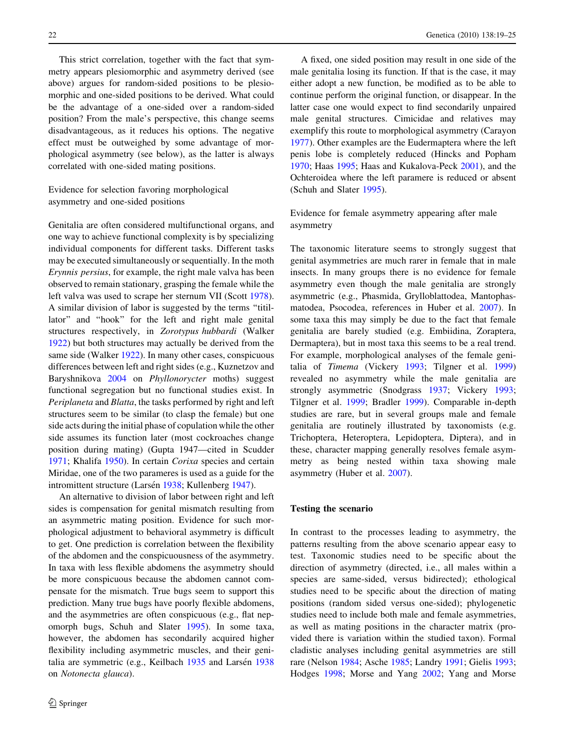This strict correlation, together with the fact that symmetry appears plesiomorphic and asymmetry derived (see above) argues for random-sided positions to be plesiomorphic and one-sided positions to be derived. What could be the advantage of a one-sided over a random-sided position? From the male's perspective, this change seems disadvantageous, as it reduces his options. The negative effect must be outweighed by some advantage of morphological asymmetry (see below), as the latter is always correlated with one-sided mating positions.

Evidence for selection favoring morphological asymmetry and one-sided positions

Genitalia are often considered multifunctional organs, and one way to achieve functional complexity is by specializing individual components for different tasks. Different tasks may be executed simultaneously or sequentially. In the moth Erynnis persius, for example, the right male valva has been observed to remain stationary, grasping the female while the left valva was used to scrape her sternum VII (Scott [1978](#page-6-0)). A similar division of labor is suggested by the terms ''titillator'' and ''hook'' for the left and right male genital structures respectively, in Zorotypus hubbardi (Walker [1922\)](#page-6-0) but both structures may actually be derived from the same side (Walker [1922\)](#page-6-0). In many other cases, conspicuous differences between left and right sides (e.g., Kuznetzov and Baryshnikova [2004](#page-5-0) on Phyllonorycter moths) suggest functional segregation but no functional studies exist. In Periplaneta and Blatta, the tasks performed by right and left structures seem to be similar (to clasp the female) but one side acts during the initial phase of copulation while the other side assumes its function later (most cockroaches change position during mating) (Gupta 1947—cited in Scudder [1971;](#page-6-0) Khalifa [1950](#page-5-0)). In certain Corixa species and certain Miridae, one of the two parameres is used as a guide for the intromittent structure (Larsén [1938;](#page-5-0) Kullenberg [1947](#page-5-0)).

An alternative to division of labor between right and left sides is compensation for genital mismatch resulting from an asymmetric mating position. Evidence for such morphological adjustment to behavioral asymmetry is difficult to get. One prediction is correlation between the flexibility of the abdomen and the conspicuousness of the asymmetry. In taxa with less flexible abdomens the asymmetry should be more conspicuous because the abdomen cannot compensate for the mismatch. True bugs seem to support this prediction. Many true bugs have poorly flexible abdomens, and the asymmetries are often conspicuous (e.g., flat nepomorph bugs, Schuh and Slater [1995](#page-6-0)). In some taxa, however, the abdomen has secondarily acquired higher flexibility including asymmetric muscles, and their geni-talia are symmetric (e.g., Keilbach [1935](#page-5-0) and Larsén [1938](#page-5-0) on Notonecta glauca).

A fixed, one sided position may result in one side of the male genitalia losing its function. If that is the case, it may either adopt a new function, be modified as to be able to continue perform the original function, or disappear. In the latter case one would expect to find secondarily unpaired male genital structures. Cimicidae and relatives may exemplify this route to morphological asymmetry (Carayon [1977](#page-5-0)). Other examples are the Eudermaptera where the left penis lobe is completely reduced (Hincks and Popham [1970](#page-5-0); Haas [1995;](#page-5-0) Haas and Kukalova-Peck [2001\)](#page-5-0), and the Ochteroidea where the left paramere is reduced or absent (Schuh and Slater [1995](#page-6-0)).

Evidence for female asymmetry appearing after male asymmetry

The taxonomic literature seems to strongly suggest that genital asymmetries are much rarer in female that in male insects. In many groups there is no evidence for female asymmetry even though the male genitalia are strongly asymmetric (e.g., Phasmida, Grylloblattodea, Mantophasmatodea, Psocodea, references in Huber et al. [2007](#page-5-0)). In some taxa this may simply be due to the fact that female genitalia are barely studied (e.g. Embiidina, Zoraptera, Dermaptera), but in most taxa this seems to be a real trend. For example, morphological analyses of the female genitalia of Timema (Vickery [1993](#page-6-0); Tilgner et al. [1999\)](#page-6-0) revealed no asymmetry while the male genitalia are strongly asymmetric (Snodgrass [1937;](#page-6-0) Vickery [1993](#page-6-0); Tilgner et al. [1999](#page-6-0); Bradler [1999\)](#page-4-0). Comparable in-depth studies are rare, but in several groups male and female genitalia are routinely illustrated by taxonomists (e.g. Trichoptera, Heteroptera, Lepidoptera, Diptera), and in these, character mapping generally resolves female asymmetry as being nested within taxa showing male asymmetry (Huber et al. [2007](#page-5-0)).

#### Testing the scenario

In contrast to the processes leading to asymmetry, the patterns resulting from the above scenario appear easy to test. Taxonomic studies need to be specific about the direction of asymmetry (directed, i.e., all males within a species are same-sided, versus bidirected); ethological studies need to be specific about the direction of mating positions (random sided versus one-sided); phylogenetic studies need to include both male and female asymmetries, as well as mating positions in the character matrix (provided there is variation within the studied taxon). Formal cladistic analyses including genital asymmetries are still rare (Nelson [1984;](#page-6-0) Asche [1985](#page-4-0); Landry [1991](#page-5-0); Gielis [1993](#page-5-0); Hodges [1998](#page-5-0); Morse and Yang [2002](#page-6-0); Yang and Morse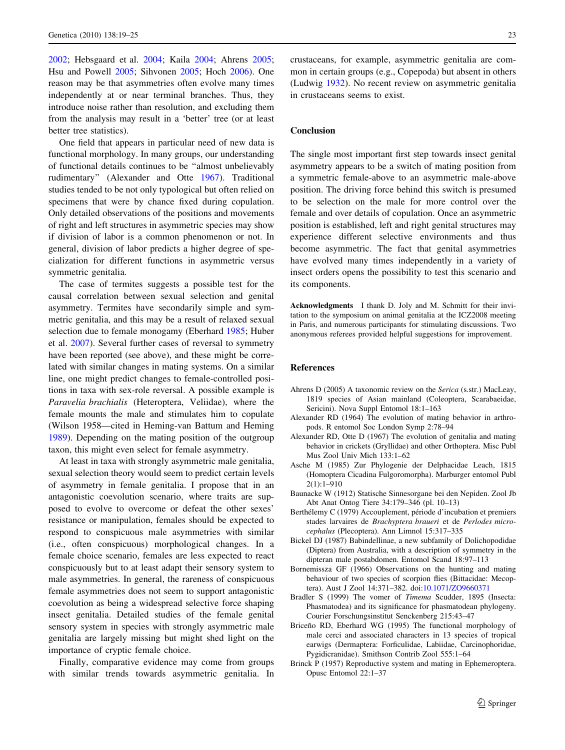<span id="page-4-0"></span>[2002;](#page-6-0) Hebsgaard et al. [2004](#page-5-0); Kaila [2004](#page-5-0); Ahrens 2005; Hsu and Powell [2005](#page-5-0); Sihvonen [2005](#page-6-0); Hoch [2006\)](#page-5-0). One reason may be that asymmetries often evolve many times independently at or near terminal branches. Thus, they introduce noise rather than resolution, and excluding them from the analysis may result in a 'better' tree (or at least better tree statistics).

One field that appears in particular need of new data is functional morphology. In many groups, our understanding of functional details continues to be ''almost unbelievably rudimentary'' (Alexander and Otte 1967). Traditional studies tended to be not only typological but often relied on specimens that were by chance fixed during copulation. Only detailed observations of the positions and movements of right and left structures in asymmetric species may show if division of labor is a common phenomenon or not. In general, division of labor predicts a higher degree of specialization for different functions in asymmetric versus symmetric genitalia.

The case of termites suggests a possible test for the causal correlation between sexual selection and genital asymmetry. Termites have secondarily simple and symmetric genitalia, and this may be a result of relaxed sexual selection due to female monogamy (Eberhard [1985;](#page-5-0) Huber et al. [2007\)](#page-5-0). Several further cases of reversal to symmetry have been reported (see above), and these might be correlated with similar changes in mating systems. On a similar line, one might predict changes to female-controlled positions in taxa with sex-role reversal. A possible example is Paravelia brachialis (Heteroptera, Veliidae), where the female mounts the male and stimulates him to copulate (Wilson 1958—cited in Heming-van Battum and Heming [1989\)](#page-5-0). Depending on the mating position of the outgroup taxon, this might even select for female asymmetry.

At least in taxa with strongly asymmetric male genitalia, sexual selection theory would seem to predict certain levels of asymmetry in female genitalia. I propose that in an antagonistic coevolution scenario, where traits are supposed to evolve to overcome or defeat the other sexes' resistance or manipulation, females should be expected to respond to conspicuous male asymmetries with similar (i.e., often conspicuous) morphological changes. In a female choice scenario, females are less expected to react conspicuously but to at least adapt their sensory system to male asymmetries. In general, the rareness of conspicuous female asymmetries does not seem to support antagonistic coevolution as being a widespread selective force shaping insect genitalia. Detailed studies of the female genital sensory system in species with strongly asymmetric male genitalia are largely missing but might shed light on the importance of cryptic female choice.

Finally, comparative evidence may come from groups with similar trends towards asymmetric genitalia. In crustaceans, for example, asymmetric genitalia are common in certain groups (e.g., Copepoda) but absent in others (Ludwig [1932\)](#page-5-0). No recent review on asymmetric genitalia in crustaceans seems to exist.

### Conclusion

The single most important first step towards insect genital asymmetry appears to be a switch of mating position from a symmetric female-above to an asymmetric male-above position. The driving force behind this switch is presumed to be selection on the male for more control over the female and over details of copulation. Once an asymmetric position is established, left and right genital structures may experience different selective environments and thus become asymmetric. The fact that genital asymmetries have evolved many times independently in a variety of insect orders opens the possibility to test this scenario and its components.

Acknowledgments I thank D. Joly and M. Schmitt for their invitation to the symposium on animal genitalia at the ICZ2008 meeting in Paris, and numerous participants for stimulating discussions. Two anonymous referees provided helpful suggestions for improvement.

#### References

- Ahrens D (2005) A taxonomic review on the Serica (s.str.) MacLeay, 1819 species of Asian mainland (Coleoptera, Scarabaeidae, Sericini). Nova Suppl Entomol 18:1–163
- Alexander RD (1964) The evolution of mating behavior in arthropods. R entomol Soc London Symp 2:78–94
- Alexander RD, Otte D (1967) The evolution of genitalia and mating behavior in crickets (Gryllidae) and other Orthoptera. Misc Publ Mus Zool Univ Mich 133:1–62
- Asche M (1985) Zur Phylogenie der Delphacidae Leach, 1815 (Homoptera Cicadina Fulgoromorpha). Marburger entomol Publ 2(1):1–910
- Baunacke W (1912) Statische Sinnesorgane bei den Nepiden. Zool Jb Abt Anat Ontog Tiere 34:179–346 (pl. 10–13)
- Berthélemy C (1979) Accouplement, période d'incubation et premiers stades larvaires de Brachyptera braueri et de Perlodes microcephalus (Plecoptera). Ann Limnol 15:317–335
- Bickel DJ (1987) Babindellinae, a new subfamily of Dolichopodidae (Diptera) from Australia, with a description of symmetry in the dipteran male postabdomen. Entomol Scand 18:97–113
- Bornemissza GF (1966) Observations on the hunting and mating behaviour of two species of scorpion flies (Bittacidae: Mecoptera). Aust J Zool 14:371–382. doi[:10.1071/ZO9660371](http://dx.doi.org/10.1071/ZO9660371)
- Bradler S (1999) The vomer of Timema Scudder, 1895 (Insecta: Phasmatodea) and its significance for phasmatodean phylogeny. Courier Forschungsinstitut Senckenberg 215:43–47
- Briceño RD, Eberhard WG (1995) The functional morphology of male cerci and associated characters in 13 species of tropical earwigs (Dermaptera: Forficulidae, Labiidae, Carcinophoridae, Pygidicranidae). Smithson Contrib Zool 555:1–64
- Brinck P (1957) Reproductive system and mating in Ephemeroptera. Opusc Entomol 22:1–37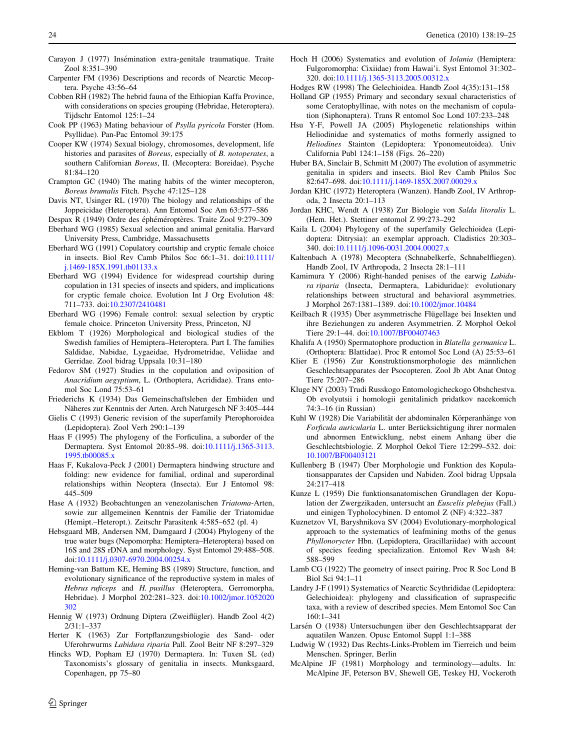- <span id="page-5-0"></span>Carayon J (1977) Insémination extra-genitale traumatique. Traite Zool 8:351–390
- Carpenter FM (1936) Descriptions and records of Nearctic Mecoptera. Psyche 43:56–64
- Cobben RH (1982) The hebrid fauna of the Ethiopian Kaffa Province, with considerations on species grouping (Hebridae, Heteroptera). Tijdschr Entomol 125:1–24
- Cook PP (1963) Mating behaviour of Psylla pyricola Forster (Hom. Psyllidae). Pan-Pac Entomol 39:175
- Cooper KW (1974) Sexual biology, chromosomes, development, life histories and parasites of Boreus, especially of B. notoperates, a southern Californian Boreus, II. (Mecoptera: Boreidae). Psyche 81:84–120
- Crampton GC (1940) The mating habits of the winter mecopteron, Boreus brumalis Fitch. Psyche 47:125–128
- Davis NT, Usinger RL (1970) The biology and relationships of the Joppeicidae (Heteroptera). Ann Entomol Soc Am 63:577–586
- Despax R (1949) Ordre des éphéméroptères. Traite Zool 9:279–309
- Eberhard WG (1985) Sexual selection and animal genitalia. Harvard University Press, Cambridge, Massachusetts
- Eberhard WG (1991) Copulatory courtship and cryptic female choice in insects. Biol Rev Camb Philos Soc 66:1–31. doi[:10.1111/](http://dx.doi.org/10.1111/j.1469-185X.1991.tb01133.x) [j.1469-185X.1991.tb01133.x](http://dx.doi.org/10.1111/j.1469-185X.1991.tb01133.x)
- Eberhard WG (1994) Evidence for widespread courtship during copulation in 131 species of insects and spiders, and implications for cryptic female choice. Evolution Int J Org Evolution 48: 711–733. doi:[10.2307/2410481](http://dx.doi.org/10.2307/2410481)
- Eberhard WG (1996) Female control: sexual selection by cryptic female choice. Princeton University Press, Princeton, NJ
- Ekblom T (1926) Morphological and biological studies of the Swedish families of Hemiptera–Heteroptera. Part I. The families Saldidae, Nabidae, Lygaeidae, Hydrometridae, Veliidae and Gerridae. Zool bidrag Uppsala 10:31–180
- Fedorov SM (1927) Studies in the copulation and oviposition of Anacridium aegyptium, L. (Orthoptera, Acrididae). Trans entomol Soc Lond 75:53–61
- Friederichs K (1934) Das Gemeinschaftsleben der Embiiden und Näheres zur Kenntnis der Arten. Arch Naturgesch NF 3:405-444
- Gielis C (1993) Generic revision of the superfamily Pterophoroidea (Lepidoptera). Zool Verh 290:1–139
- Haas F (1995) The phylogeny of the Forficulina, a suborder of the Dermaptera. Syst Entomol 20:85–98. doi:[10.1111/j.1365-3113.](http://dx.doi.org/10.1111/j.1365-3113.1995.tb00085.x) [1995.tb00085.x](http://dx.doi.org/10.1111/j.1365-3113.1995.tb00085.x)
- Haas F, Kukalova-Peck J (2001) Dermaptera hindwing structure and folding: new evidence for familial, ordinal and superordinal relationships within Neoptera (Insecta). Eur J Entomol 98: 445–509
- Hase A (1932) Beobachtungen an venezolanischen Triatoma-Arten, sowie zur allgemeinen Kenntnis der Familie der Triatomidae (Hemipt.–Heteropt.). Zeitschr Parasitenk 4:585–652 (pl. 4)
- Hebsgaard MB, Andersen NM, Damgaard J (2004) Phylogeny of the true water bugs (Nepomorpha: Hemiptera–Heteroptera) based on 16S and 28S rDNA and morphology. Syst Entomol 29:488–508. doi[:10.1111/j.0307-6970.2004.00254.x](http://dx.doi.org/10.1111/j.0307-6970.2004.00254.x)
- Heming-van Battum KE, Heming BS (1989) Structure, function, and evolutionary significance of the reproductive system in males of Hebrus ruficeps and H. pusillus (Heteroptera, Gerromorpha, Hebridae). J Morphol 202:281–323. doi[:10.1002/jmor.1052020](http://dx.doi.org/10.1002/jmor.1052020302) [302](http://dx.doi.org/10.1002/jmor.1052020302)
- Hennig W (1973) Ordnung Diptera (Zweiflügler). Handb Zool 4(2) 2/31:1–337
- Herter K (1963) Zur Fortpflanzungsbiologie des Sand- oder Uferohrwurms Labidura riparia Pall. Zool Beitr NF 8:297–329
- Hincks WD, Popham EJ (1970) Dermaptera. In: Tuxen SL (ed) Taxonomists's glossary of genitalia in insects. Munksgaard, Copenhagen, pp 75–80
- Hoch H (2006) Systematics and evolution of Iolania (Hemiptera: Fulgoromorpha: Cixiidae) from Hawai'i. Syst Entomol 31:302– 320. doi[:10.1111/j.1365-3113.2005.00312.x](http://dx.doi.org/10.1111/j.1365-3113.2005.00312.x)
- Hodges RW (1998) The Gelechioidea. Handb Zool 4(35):131–158
- Holland GP (1955) Primary and secondary sexual characteristics of some Ceratophyllinae, with notes on the mechanism of copulation (Siphonaptera). Trans R entomol Soc Lond 107:233–248
- Hsu Y-F, Powell JA (2005) Phylogenetic relationships within Heliodinidae and systematics of moths formerly assigned to Heliodines Stainton (Lepidoptera: Yponomeutoidea). Univ California Publ 124:1–158 (Figs. 26–220)
- Huber BA, Sinclair B, Schmitt M (2007) The evolution of asymmetric genitalia in spiders and insects. Biol Rev Camb Philos Soc 82:647–698. doi:[10.1111/j.1469-185X.2007.00029.x](http://dx.doi.org/10.1111/j.1469-185X.2007.00029.x)
- Jordan KHC (1972) Heteroptera (Wanzen). Handb Zool, IV Arthropoda, 2 Insecta 20:1–113
- Jordan KHC, Wendt A (1938) Zur Biologie von Salda litoralis L. (Hem. Het.). Stettiner entomol Z 99:273–292
- Kaila L (2004) Phylogeny of the superfamily Gelechioidea (Lepidoptera: Ditrysia): an exemplar approach. Cladistics 20:303– 340. doi[:10.1111/j.1096-0031.2004.00027.x](http://dx.doi.org/10.1111/j.1096-0031.2004.00027.x)
- Kaltenbach A (1978) Mecoptera (Schnabelkerfe, Schnabelfliegen). Handb Zool, IV Arthropoda, 2 Insecta 28:1–111
- Kamimura Y (2006) Right-handed penises of the earwig Labidura riparia (Insecta, Dermaptera, Labiduridae): evolutionary relationships between structural and behavioral asymmetries. J Morphol 267:1381–1389. doi[:10.1002/jmor.10484](http://dx.doi.org/10.1002/jmor.10484)
- Keilbach R (1935) Über asymmetrische Flügellage bei Insekten und ihre Beziehungen zu anderen Asymmetrien. Z Morphol Oekol Tiere 29:1–44. doi:[10.1007/BF00407463](http://dx.doi.org/10.1007/BF00407463)
- Khalifa A (1950) Spermatophore production in Blatella germanica L. (Orthoptera: Blattidae). Proc R entomol Soc Lond (A) 25:53–61
- Klier E (1956) Zur Konstruktionsmorphologie des männlichen Geschlechtsapparates der Psocopteren. Zool Jb Abt Anat Ontog Tiere 75:207–286
- Kluge NY (2003) Trudi Russkogo Entomologicheckogo Obshchestva. Ob evolyutsii i homologii genitalinich pridatkov nacekomich 74:3–16 (in Russian)
- Kuhl W (1928) Die Variabilität der abdominalen Körperanhänge von Forficula auricularia L. unter Berücksichtigung ihrer normalen und abnormen Entwicklung, nebst einem Anhang über die Geschlechtsbiologie. Z Morphol Oekol Tiere 12:299–532. doi: [10.1007/BF00403121](http://dx.doi.org/10.1007/BF00403121)
- Kullenberg B (1947) Über Morphologie und Funktion des Kopulationsapparates der Capsiden und Nabiden. Zool bidrag Uppsala 24:217–418
- Kunze L (1959) Die funktionsanatomischen Grundlagen der Kopulation der Zwergzikaden, untersucht an Euscelis plebejus (Fall.) und einigen Typholocybinen. D entomol Z (NF) 4:322–387
- Kuznetzov VI, Baryshnikova SV (2004) Evolutionary-morphological approach to the systematics of leafmining moths of the genus Phyllonorycter Hbn. (Lepidoptera, Gracillariidae) with account of species feeding specialization. Entomol Rev Wash 84: 588–599
- Lamb CG (1922) The geometry of insect pairing. Proc R Soc Lond B Biol Sci 94:1–11
- Landry J-F (1991) Systematics of Nearctic Scythrididae (Lepidoptera: Gelechioidea): phylogeny and classification of supraspecific taxa, with a review of described species. Mem Entomol Soc Can 160:1–341
- Larsén O (1938) Untersuchungen über den Geschlechtsapparat der aquatilen Wanzen. Opusc Entomol Suppl 1:1–388
- Ludwig W (1932) Das Rechts-Links-Problem im Tierreich und beim Menschen. Springer, Berlin
- McAlpine JF (1981) Morphology and terminology—adults. In: McAlpine JF, Peterson BV, Shewell GE, Teskey HJ, Vockeroth